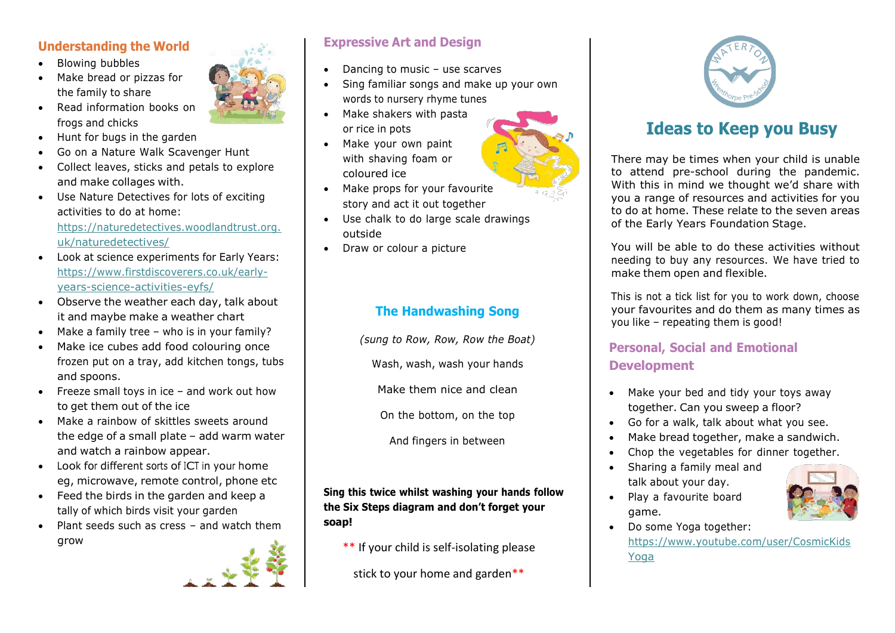### **Understanding the World**

- Blowing bubbles
- Make bread or pizzas for the family to share
- Read information books on frogs and chicks
- Hunt for bugs in the garden
- Go on a Nature Walk Scavenger Hunt
- Collect leaves, sticks and petals to explore and make collages with.
- Use Nature Detectives for lots of exciting activities to do at home: [https://naturedetectives.woodlandtrust.org.](https://naturedetectives.woodlandtrust.org.uk/naturedetectives/)

[uk/naturedetectives/](https://naturedetectives.woodlandtrust.org.uk/naturedetectives/)

- Look at science experiments for Early Years: [https://www.firstdiscoverers.co.uk/early](https://www.firstdiscoverers.co.uk/early-years-science-activities-eyfs/)[years-science-activities-eyfs/](https://www.firstdiscoverers.co.uk/early-years-science-activities-eyfs/)
- Observe the weather each day, talk about it and maybe make a weather chart
- Make a family tree who is in your family?
- Make ice cubes add food colouring once frozen put on a tray, add kitchen tongs, tubs and spoons.
- Freeze small toys in ice and work out how to get them out of the ice
- Make a rainbow of skittles sweets around the edge of a small plate – add warm water and watch a rainbow appear.
- Look for different sorts of ICT in your home eg, microwave, remote control, phone etc
- Feed the birds in the garden and keep a tally of which birds visit your garden
- Plant seeds such as cress and watch them grow





# **Expressive Art and Design**

- Dancing to music use scarves
- Sing familiar songs and make up your own words to nursery rhyme tunes
- Make shakers with pasta or rice in pots
- Make your own paint with shaving foam or coloured ice
- Make props for your favourite story and act it out together
- Use chalk to do large scale drawings outside
- Draw or colour a picture

# **The Handwashing Song**

*(sung to Row, Row, Row the Boat)*

Wash, wash, wash your hands

Make them nice and clean

On the bottom, on the top

And fingers in between

**Sing this twice whilst washing your hands follow the Six Steps diagram and don't forget your soap!**

\*\* If your child is self-isolating please

stick to your home and garden\*\*



# **Ideas to Keep you Busy**

There may be times when your child is unable to attend pre-school during the pandemic. With this in mind we thought we'd share with you a range of resources and activities for you to do at home. These relate to the seven areas of the Early Years Foundation Stage.

You will be able to do these activities without needing to buy any resources. We have tried to make them open and flexible.

This is not a tick list for you to work down, choose your favourites and do them as many times as you like – repeating them is good!

# **Personal, Social and Emotional Development**

- Make your bed and tidy your toys away together. Can you sweep a floor?
- Go for a walk, talk about what you see.
- Make bread together, make a sandwich.
- Chop the vegetables for dinner together.
- Sharing a family meal and talk about your day.
- Play a favourite board game.



• Do some Yoga together: [https://www.youtube.com/user/CosmicKids](https://www.youtube.com/user/CosmicKidsYoga) [Yoga](https://www.youtube.com/user/CosmicKidsYoga)